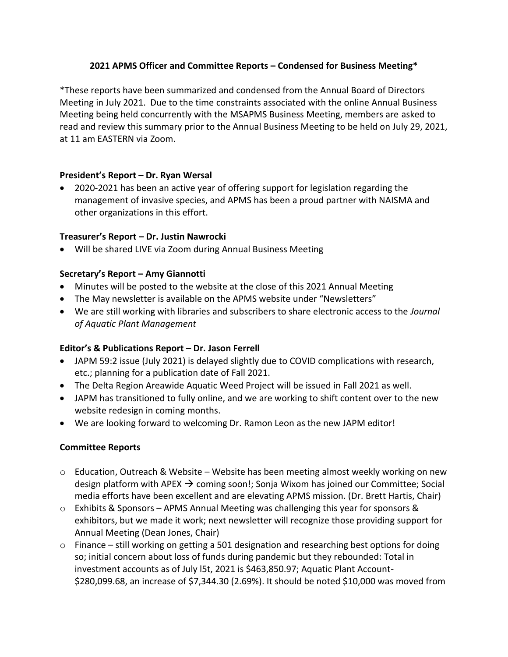## **2021 APMS Officer and Committee Reports – Condensed for Business Meeting\***

\*These reports have been summarized and condensed from the Annual Board of Directors Meeting in July 2021. Due to the time constraints associated with the online Annual Business Meeting being held concurrently with the MSAPMS Business Meeting, members are asked to read and review this summary prior to the Annual Business Meeting to be held on July 29, 2021, at 11 am EASTERN via Zoom.

### **President's Report – Dr. Ryan Wersal**

• 2020-2021 has been an active year of offering support for legislation regarding the management of invasive species, and APMS has been a proud partner with NAISMA and other organizations in this effort.

### **Treasurer's Report – Dr. Justin Nawrocki**

• Will be shared LIVE via Zoom during Annual Business Meeting

### **Secretary's Report – Amy Giannotti**

- Minutes will be posted to the website at the close of this 2021 Annual Meeting
- The May newsletter is available on the APMS website under "Newsletters"
- We are still working with libraries and subscribers to share electronic access to the *Journal of Aquatic Plant Management*

#### **Editor's & Publications Report – Dr. Jason Ferrell**

- JAPM 59:2 issue (July 2021) is delayed slightly due to COVID complications with research, etc.; planning for a publication date of Fall 2021.
- The Delta Region Areawide Aquatic Weed Project will be issued in Fall 2021 as well.
- JAPM has transitioned to fully online, and we are working to shift content over to the new website redesign in coming months.
- We are looking forward to welcoming Dr. Ramon Leon as the new JAPM editor!

# **Committee Reports**

- o Education, Outreach & Website Website has been meeting almost weekly working on new design platform with APEX  $\rightarrow$  coming soon!; Sonja Wixom has joined our Committee; Social media efforts have been excellent and are elevating APMS mission. (Dr. Brett Hartis, Chair)
- o Exhibits & Sponsors APMS Annual Meeting was challenging this year for sponsors & exhibitors, but we made it work; next newsletter will recognize those providing support for Annual Meeting (Dean Jones, Chair)
- $\circ$  Finance still working on getting a 501 designation and researching best options for doing so; initial concern about loss of funds during pandemic but they rebounded: Total in investment accounts as of July l5t, 2021 is \$463,850.97; Aquatic Plant Account- \$280,099.68, an increase of \$7,344.30 (2.69%). It should be noted \$10,000 was moved from